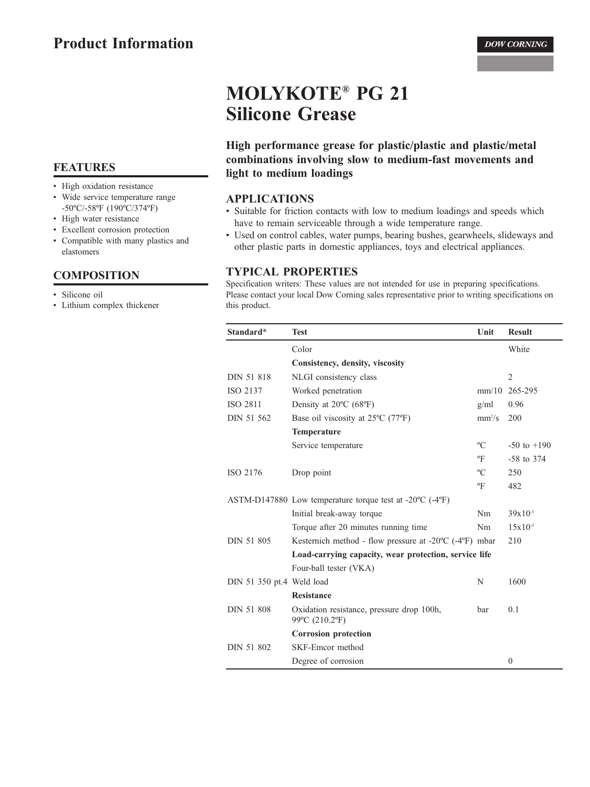# **MOLYKOTE® PG 21 Silicone Grease**

High performance grease for plastic/plastic and plastic/metal combinations involving slow to medium-fast movements and light to medium loadings

#### **APPLICATIONS**

- Suitable for friction contacts with low to medium loadings and speeds which have to remain serviceable through a wide temperature range.
- Used on control cables, water pumps, bearing bushes, gearwheels, slideways and other plastic parts in domestic appliances, toys and electrical appliances.

#### **TYPICAL PROPERTIES**

Specification writers: These values are not intended for use in preparing specifications. Please contact your local Dow Corning sales representative prior to writing specifications on this product.

| Standard*                 | <b>Test</b>                                                                   | Unit                      | <b>Result</b>   |  |  |
|---------------------------|-------------------------------------------------------------------------------|---------------------------|-----------------|--|--|
|                           | Color                                                                         |                           | White           |  |  |
|                           | Consistency, density, viscosity                                               |                           |                 |  |  |
| DIN 51 818                | NLGI consistency class                                                        |                           | $\overline{2}$  |  |  |
| ISO 2137                  | Worked penetration                                                            | mm/10                     | 265-295         |  |  |
| ISO 2811                  | Density at $20^{\circ}$ C (68 $^{\circ}$ F)                                   | g/ml                      | 0.96            |  |  |
| DIN 51 562                | Base oil viscosity at $25^{\circ}$ C (77 $^{\circ}$ F)                        | $mm^2/s$                  | 200             |  |  |
|                           | <b>Temperature</b>                                                            |                           |                 |  |  |
|                           | Service temperature                                                           | $\rm ^{o}C$               | $-50$ to $+190$ |  |  |
|                           |                                                                               | $\mathrm{P}_{\mathrm{F}}$ | $-58$ to 374    |  |  |
| ISO 2176                  | Drop point                                                                    | $\rm ^{o}C$               | 250             |  |  |
|                           |                                                                               | $\mathrm{P}$              | 482             |  |  |
|                           | ASTM-D147880 Low temperature torque test at $-20^{\circ}$ C ( $-4^{\circ}$ F) |                           |                 |  |  |
|                           | Initial break-away torque                                                     | Nm                        | $39x10^{-3}$    |  |  |
|                           | Torque after 20 minutes running time                                          | Nm                        | $15x10^{-3}$    |  |  |
| DIN 51 805                | Kesternich method - flow pressure at $-20^{\circ}$ C ( $-4^{\circ}$ F) mbar   |                           | 210             |  |  |
|                           | Load-carrying capacity, wear protection, service life                         |                           |                 |  |  |
|                           | Four-ball tester (VKA)                                                        |                           |                 |  |  |
| DIN 51 350 pt.4 Weld load |                                                                               | N                         | 1600            |  |  |
|                           | <b>Resistance</b>                                                             |                           |                 |  |  |
| <b>DIN 51 808</b>         | Oxidation resistance, pressure drop 100h,<br>99°C (210.2°F)                   | bar                       | 0.1             |  |  |
|                           | <b>Corrosion</b> protection                                                   |                           |                 |  |  |
| DIN 51 802                | SKF-Emcor method                                                              |                           |                 |  |  |
|                           | Degree of corrosion                                                           |                           | $\overline{0}$  |  |  |

## **FEATURES**

- High oxidation resistance
- Wide service temperature range -50°C/-58°F (190°C/374°F)
- High water resistance
- Excellent corrosion protection
- Compatible with many plastics and elastomers

#### **COMPOSITION**

- · Silicone oil
- Lithium complex thickener